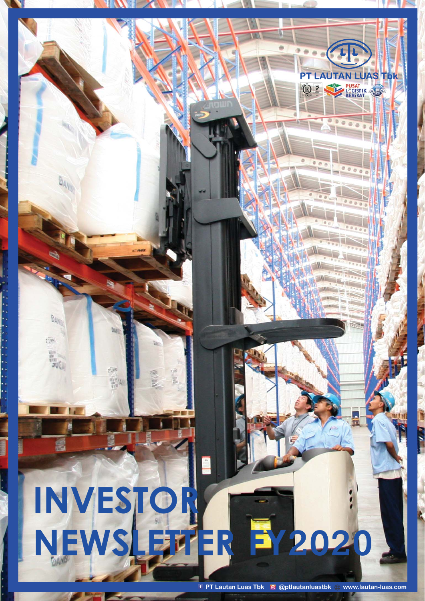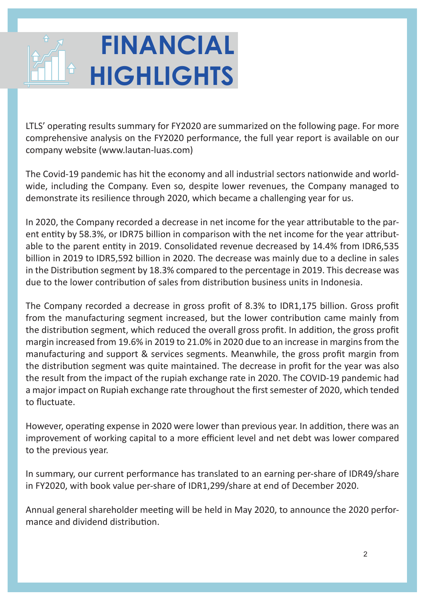# **FINANCIAL HIGHLIGHTS**

LTLS' operating results summary for FY2020 are summarized on the following page. For more comprehensive analysis on the FY2020 performance, the full year report is available on our company website (www.lautan-luas.com)

The Covid-19 pandemic has hit the economy and all industrial sectors nationwide and worldwide, including the Company. Even so, despite lower revenues, the Company managed to demonstrate its resilience through 2020, which became a challenging year for us.

In 2020, the Company recorded a decrease in net income for the year attributable to the parent entity by 58.3%, or IDR75 billion in comparison with the net income for the year attributable to the parent entity in 2019. Consolidated revenue decreased by 14.4% from IDR6,535 billion in 2019 to IDR5,592 billion in 2020. The decrease was mainly due to a decline in sales in the Distribution segment by 18.3% compared to the percentage in 2019. This decrease was due to the lower contribution of sales from distribution business units in Indonesia.

The Company recorded a decrease in gross profit of 8.3% to IDR1,175 billion. Gross profit from the manufacturing segment increased, but the lower contribution came mainly from the distribution segment, which reduced the overall gross profit. In addition, the gross profit margin increased from 19.6% in 2019 to 21.0% in 2020 due to an increase in margins from the manufacturing and support & services segments. Meanwhile, the gross profit margin from the distribution segment was quite maintained. The decrease in profit for the year was also the result from the impact of the rupiah exchange rate in 2020. The COVID-19 pandemic had a major impact on Rupiah exchange rate throughout the first semester of 2020, which tended to fluctuate.

However, operating expense in 2020 were lower than previous year. In addition, there was an improvement of working capital to a more efficient level and net debt was lower compared to the previous year.

In summary, our current performance has translated to an earning per-share of IDR49/share in FY2020, with book value per-share of IDR1,299/share at end of December 2020.

Annual general shareholder meeting will be held in May 2020, to announce the 2020 performance and dividend distribution.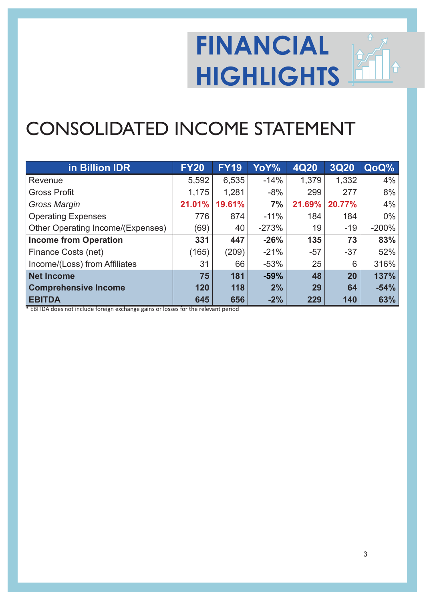## **FINANCIAL HIGHLIGHTS**

## CONSOLIDATED INCOME STATEMENT

| in Billion IDR                    | <b>FY20</b> | <b>FY19</b> | YoY%    | 4Q20   | <b>3Q20</b> | QoQ%    |
|-----------------------------------|-------------|-------------|---------|--------|-------------|---------|
| Revenue                           | 5,592       | 6,535       | $-14%$  | 1,379  | 1,332       | 4%      |
| <b>Gross Profit</b>               | 1,175       | 1,281       | $-8%$   | 299    | 277         | 8%      |
| Gross Margin                      | 21.01%      | 19.61%      | 7%      | 21.69% | 20.77%      | 4%      |
| <b>Operating Expenses</b>         | 776         | 874         | $-11%$  | 184    | 184         | $0\%$   |
| Other Operating Income/(Expenses) | (69)        | 40          | $-273%$ | 19     | $-19$       | $-200%$ |
| <b>Income from Operation</b>      | 331         | 447         | $-26%$  | 135    | 73          | 83%     |
| Finance Costs (net)               | (165)       | (209)       | $-21%$  | $-57$  | $-37$       | 52%     |
| Income/(Loss) from Affiliates     | 31          | 66          | $-53%$  | 25     | 6           | 316%    |
| <b>Net Income</b>                 | 75          | 181         | $-59%$  | 48     | 20          | 137%    |
| <b>Comprehensive Income</b>       | 120         | 118         | 2%      | 29     | 64          | $-54%$  |
| <b>EBITDA</b>                     | 645         | 656         | $-2%$   | 229    | 140         | 63%     |

\* EBITDA does not include foreign exchange gains or losses for the relevant period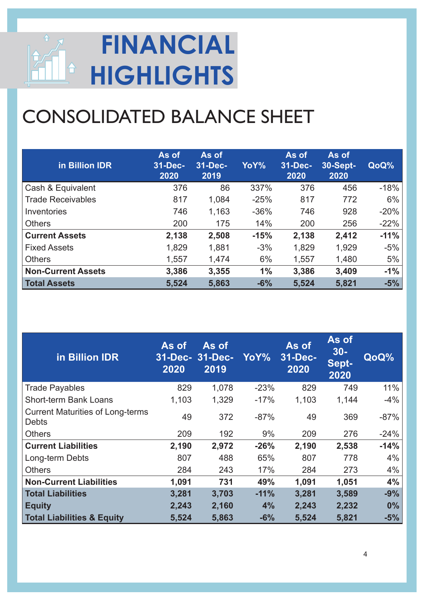

## CONSOLIDATED BALANCE SHEET

| in Billion IDR            | As of<br>31-Dec-<br>2020 | As of<br>31-Dec-<br>2019 | YoY%   | As of<br>31-Dec-<br>2020 | As of<br><b>30-Sept-</b><br>2020 | QoQ%   |
|---------------------------|--------------------------|--------------------------|--------|--------------------------|----------------------------------|--------|
| Cash & Equivalent         | 376                      | 86                       | 337%   | 376                      | 456                              | $-18%$ |
| <b>Trade Receivables</b>  | 817                      | 1,084                    | $-25%$ | 817                      | 772                              | $6\%$  |
| Inventories               | 746                      | 1,163                    | $-36%$ | 746                      | 928                              | $-20%$ |
| <b>Others</b>             | 200                      | 175                      | 14%    | 200                      | 256                              | $-22%$ |
| <b>Current Assets</b>     | 2,138                    | 2,508                    | $-15%$ | 2,138                    | 2,412                            | $-11%$ |
| <b>Fixed Assets</b>       | 1,829                    | 1,881                    | $-3%$  | 1,829                    | 1,929                            | $-5%$  |
| <b>Others</b>             | 1,557                    | 1,474                    | 6%     | 1,557                    | 1,480                            | 5%     |
| <b>Non-Current Assets</b> | 3,386                    | 3,355                    | 1%     | 3,386                    | 3,409                            | $-1\%$ |
| <b>Total Assets</b>       | 5,524                    | 5,863                    | $-6%$  | 5,524                    | 5,821                            | $-5%$  |

| in Billion IDR                                          | As of<br>31-Dec- 31-Dec-<br>2020 | As of<br>2019 | YoY%   | As of<br>31-Dec-<br>2020 | As of<br>$30 -$<br>Sept-<br>2020 | QoQ%   |
|---------------------------------------------------------|----------------------------------|---------------|--------|--------------------------|----------------------------------|--------|
| <b>Trade Payables</b>                                   | 829                              | 1,078         | $-23%$ | 829                      | 749                              | 11%    |
| <b>Short-term Bank Loans</b>                            | 1,103                            | 1,329         | $-17%$ | 1,103                    | 1,144                            | $-4%$  |
| <b>Current Maturities of Long-terms</b><br><b>Debts</b> | 49                               | 372           | $-87%$ | 49                       | 369                              | $-87%$ |
| <b>Others</b>                                           | 209                              | 192           | 9%     | 209                      | 276                              | $-24%$ |
| <b>Current Liabilities</b>                              | 2,190                            | 2,972         | $-26%$ | 2,190                    | 2,538                            | $-14%$ |
| Long-term Debts                                         | 807                              | 488           | 65%    | 807                      | 778                              | $4\%$  |
| <b>Others</b>                                           | 284                              | 243           | 17%    | 284                      | 273                              | $4\%$  |
| <b>Non-Current Liabilities</b>                          | 1,091                            | 731           | 49%    | 1,091                    | 1,051                            | 4%     |
| <b>Total Liabilities</b>                                | 3,281                            | 3,703         | $-11%$ | 3,281                    | 3,589                            | $-9%$  |
| <b>Equity</b>                                           | 2,243                            | 2,160         | 4%     | 2,243                    | 2,232                            | $0\%$  |
| <b>Total Liabilities &amp; Equity</b>                   | 5,524                            | 5,863         | $-6%$  | 5,524                    | 5,821                            | $-5%$  |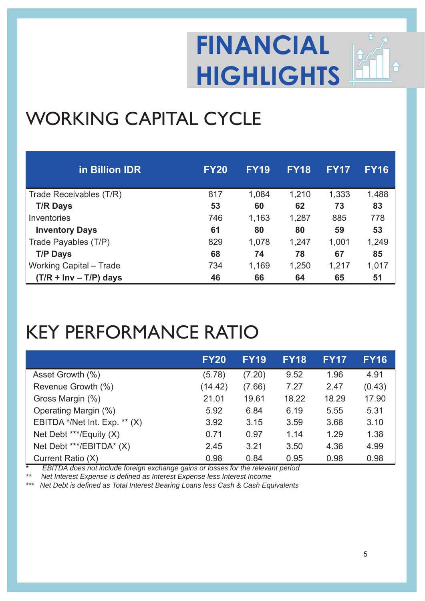

### WORKING CAPITAL CYCLE

| in Billion IDR           | <b>FY20</b> | <b>FY19</b> | <b>FY18</b> | <b>FY17</b> | <b>FY16</b> |
|--------------------------|-------------|-------------|-------------|-------------|-------------|
| Trade Receivables (T/R)  | 817         | 1,084       | 1,210       | 1,333       | 1,488       |
| <b>T/R Days</b>          | 53          | 60          | 62          | 73          | 83          |
| Inventories              | 746         | 1,163       | 1,287       | 885         | 778         |
| <b>Inventory Days</b>    | 61          | 80          | 80          | 59          | 53          |
| Trade Payables (T/P)     | 829         | 1,078       | 1,247       | 1,001       | 1,249       |
| <b>T/P Days</b>          | 68          | 74          | 78          | 67          | 85          |
| Working Capital - Trade  | 734         | 1,169       | 1,250       | 1,217       | 1,017       |
| $(T/R + Inv - T/P)$ days | 46          | 66          | 64          | 65          | 51          |

#### KEY PERFORMANCE RATIO

|                                 | <b>FY20</b> | <b>FY19</b> | <b>FY18</b> | <b>FY17</b> | <b>FY16</b> |
|---------------------------------|-------------|-------------|-------------|-------------|-------------|
| Asset Growth (%)                | (5.78)      | (7.20)      | 9.52        | 1.96        | 4.91        |
| Revenue Growth (%)              | (14.42)     | (7.66)      | 7.27        | 2.47        | (0.43)      |
| Gross Margin (%)                | 21.01       | 19.61       | 18.22       | 18.29       | 17.90       |
| Operating Margin (%)            | 5.92        | 6.84        | 6.19        | 5.55        | 5.31        |
| EBITDA */Net Int. Exp. ** $(X)$ | 3.92        | 3.15        | 3.59        | 3.68        | 3.10        |
| Net Debt ***/Equity (X)         | 0.71        | 0.97        | 1.14        | 1.29        | 1.38        |
| Net Debt ***/EBITDA* (X)        | 2.45        | 3.21        | 3.50        | 4.36        | 4.99        |
| Current Ratio (X)               | 0.98        | 0.84        | 0.95        | 0.98        | 0.98        |

*\* EBITDA does not include foreign exchange gains or losses for the relevant period*

*\*\* Net Interest Expense is defi ned as Interest Expense less Interest Income*

*Net Debt is defined as Total Interest Bearing Loans less Cash & Cash Equivalents*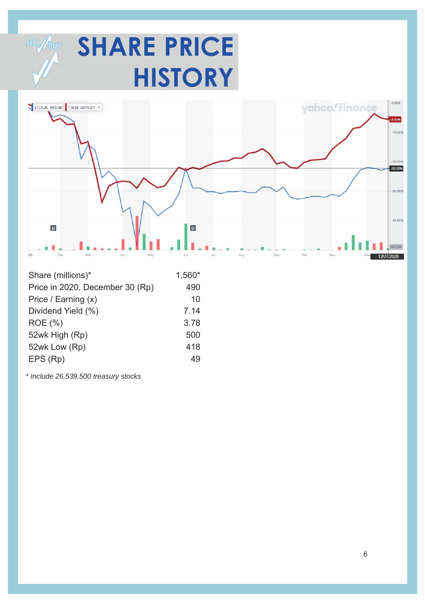



| Share (millions)*               | 1,560* |
|---------------------------------|--------|
| Price in 2020, December 30 (Rp) | 490    |
| Price / Earning (x)             | 10     |
| Dividend Yield (%)              | 7.14   |
| <b>ROE</b> (%)                  | 3.78   |
| 52wk High (Rp)                  | 500    |
| 52wk Low (Rp)                   | 418    |
| EPS (Rp)                        | 49     |

*\* Include 26,539,500 treasury stocks*